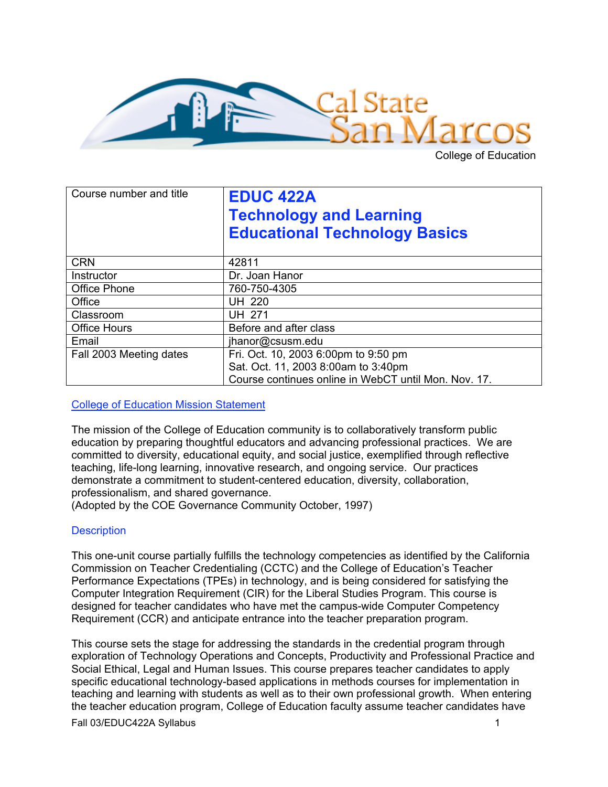

College of Education

| Course number and title | <b>EDUC 422A</b><br><b>Technology and Learning</b><br><b>Educational Technology Basics</b> |  |
|-------------------------|--------------------------------------------------------------------------------------------|--|
| <b>CRN</b>              | 42811                                                                                      |  |
| Instructor              | Dr. Joan Hanor                                                                             |  |
| <b>Office Phone</b>     | 760-750-4305                                                                               |  |
| Office                  | <b>UH 220</b>                                                                              |  |
| Classroom               | <b>UH 271</b>                                                                              |  |
| <b>Office Hours</b>     | Before and after class                                                                     |  |
| Email                   | jhanor@csusm.edu                                                                           |  |
| Fall 2003 Meeting dates | Fri. Oct. 10, 2003 6:00pm to 9:50 pm                                                       |  |
|                         | Sat. Oct. 11, 2003 8:00am to 3:40pm                                                        |  |
|                         | Course continues online in WebCT until Mon. Nov. 17.                                       |  |

College of Education Mission Statement

The mission of the College of Education community is to collaboratively transform public education by preparing thoughtful educators and advancing professional practices. We are committed to diversity, educational equity, and social justice, exemplified through reflective teaching, life-long learning, innovative research, and ongoing service. Our practices demonstrate a commitment to student-centered education, diversity, collaboration, professionalism, and shared governance.

(Adopted by the COE Governance Community October, 1997)

## **Description**

This one-unit course partially fulfills the technology competencies as identified by the California Commission on Teacher Credentialing (CCTC) and the College of Education's Teacher Performance Expectations (TPEs) in technology, and is being considered for satisfying the Computer Integration Requirement (CIR) for the Liberal Studies Program. This course is designed for teacher candidates who have met the campus-wide Computer Competency Requirement (CCR) and anticipate entrance into the teacher preparation program.

This course sets the stage for addressing the standards in the credential program through exploration of Technology Operations and Concepts, Productivity and Professional Practice and Social Ethical, Legal and Human Issues. This course prepares teacher candidates to apply specific educational technology-based applications in methods courses for implementation in teaching and learning with students as well as to their own professional growth. When entering the teacher education program, College of Education faculty assume teacher candidates have

Fall 03/EDUC422A Syllabus 1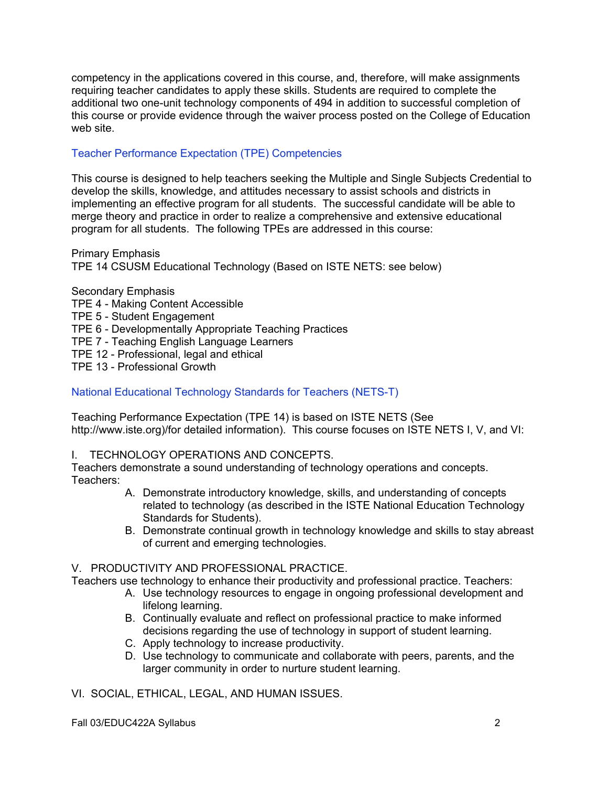competency in the applications covered in this course, and, therefore, will make assignments requiring teacher candidates to apply these skills. Students are required to complete the additional two one-unit technology components of 494 in addition to successful completion of this course or provide evidence through the waiver process posted on the College of Education web site.

## Teacher Performance Expectation (TPE) Competencies

This course is designed to help teachers seeking the Multiple and Single Subjects Credential to develop the skills, knowledge, and attitudes necessary to assist schools and districts in implementing an effective program for all students. The successful candidate will be able to merge theory and practice in order to realize a comprehensive and extensive educational program for all students. The following TPEs are addressed in this course:

Primary Emphasis TPE 14 CSUSM Educational Technology (Based on ISTE NETS: see below)

Secondary Emphasis TPE 4 - Making Content Accessible TPE 5 - Student Engagement TPE 6 - Developmentally Appropriate Teaching Practices TPE 7 - Teaching English Language Learners TPE 12 - Professional, legal and ethical TPE 13 - Professional Growth

National Educational Technology Standards for Teachers (NETS-T)

Teaching Performance Expectation (TPE 14) is based on ISTE NETS (See http://www.iste.org)/for detailed information). This course focuses on ISTE NETS I, V, and VI:

## I. TECHNOLOGY OPERATIONS AND CONCEPTS.

Teachers demonstrate a sound understanding of technology operations and concepts. Teachers:

- A. Demonstrate introductory knowledge, skills, and understanding of concepts related to technology (as described in the ISTE National Education Technology Standards for Students).
- B. Demonstrate continual growth in technology knowledge and skills to stay abreast of current and emerging technologies.

## V. PRODUCTIVITY AND PROFESSIONAL PRACTICE.

Teachers use technology to enhance their productivity and professional practice. Teachers:

- A. Use technology resources to engage in ongoing professional development and lifelong learning.
- B. Continually evaluate and reflect on professional practice to make informed decisions regarding the use of technology in support of student learning.
- C. Apply technology to increase productivity.
- D. Use technology to communicate and collaborate with peers, parents, and the larger community in order to nurture student learning.

VI. SOCIAL, ETHICAL, LEGAL, AND HUMAN ISSUES.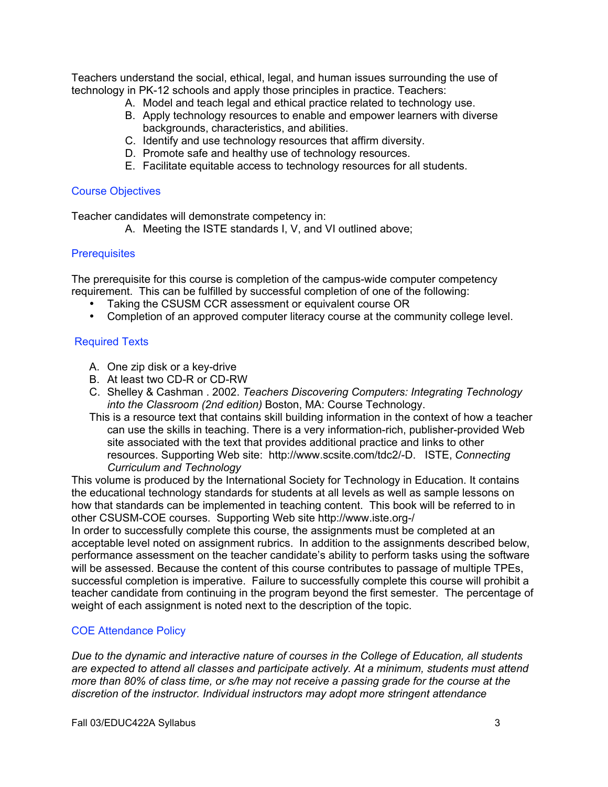Teachers understand the social, ethical, legal, and human issues surrounding the use of technology in PK-12 schools and apply those principles in practice. Teachers:

- A. Model and teach legal and ethical practice related to technology use.
- B. Apply technology resources to enable and empower learners with diverse backgrounds, characteristics, and abilities.
- C. Identify and use technology resources that affirm diversity.
- D. Promote safe and healthy use of technology resources.
- E. Facilitate equitable access to technology resources for all students.

#### Course Objectives

Teacher candidates will demonstrate competency in:

A. Meeting the ISTE standards I, V, and VI outlined above;

#### **Prerequisites**

The prerequisite for this course is completion of the campus-wide computer competency requirement. This can be fulfilled by successful completion of one of the following:

Taking the CSUSM CCR assessment or equivalent course OR

Completion of an approved computer literacy course at the community college level.

### Required Texts

- A. One zip disk or a key-drive
- B. At least two CD-R or CD-RW
- C. Shelley & Cashman . 2002. *Teachers Discovering Computers: Integrating Technology into the Classroom (2nd edition)* Boston, MA: Course Technology.
- This is a resource text that contains skill building information in the context of how a teacher can use the skills in teaching. There is a very information-rich, publisher-provided Web site associated with the text that provides additional practice and links to other resources. Supporting Web site: http://www.scsite.com/tdc2/-D. ISTE, *Connecting Curriculum and Technology*

This volume is produced by the International Society for Technology in Education. It contains the educational technology standards for students at all levels as well as sample lessons on how that standards can be implemented in teaching content. This book will be referred to in other CSUSM-COE courses. Supporting Web site http://www.iste.org-/

In order to successfully complete this course, the assignments must be completed at an acceptable level noted on assignment rubrics. In addition to the assignments described below, performance assessment on the teacher candidate's ability to perform tasks using the software will be assessed. Because the content of this course contributes to passage of multiple TPEs, successful completion is imperative. Failure to successfully complete this course will prohibit a teacher candidate from continuing in the program beyond the first semester. The percentage of weight of each assignment is noted next to the description of the topic.

### COE Attendance Policy

*Due to the dynamic and interactive nature of courses in the College of Education, all students are expected to attend all classes and participate actively. At a minimum, students must attend more than 80% of class time, or s/he may not receive a passing grade for the course at the discretion of the instructor. Individual instructors may adopt more stringent attendance*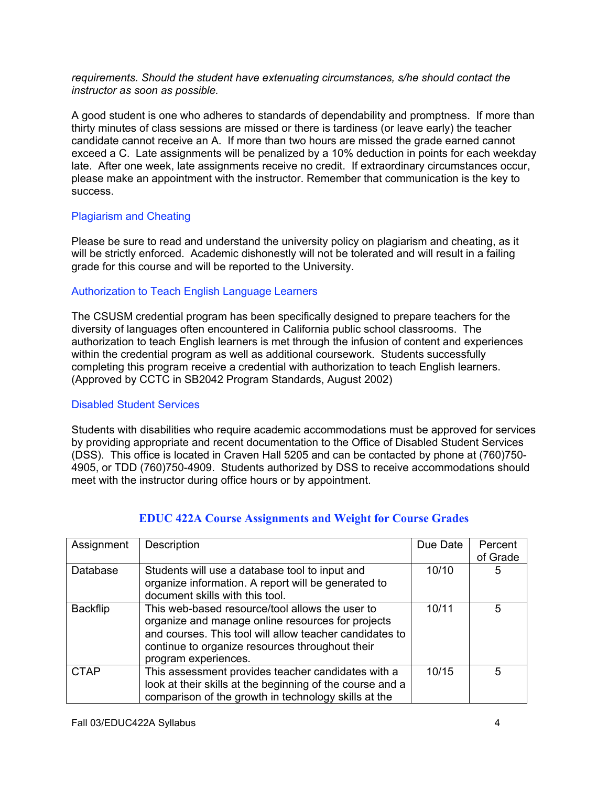*requirements. Should the student have extenuating circumstances, s/he should contact the instructor as soon as possible.*

A good student is one who adheres to standards of dependability and promptness. If more than thirty minutes of class sessions are missed or there is tardiness (or leave early) the teacher candidate cannot receive an A. If more than two hours are missed the grade earned cannot exceed a C. Late assignments will be penalized by a 10% deduction in points for each weekday late. After one week, late assignments receive no credit. If extraordinary circumstances occur, please make an appointment with the instructor. Remember that communication is the key to success.

## Plagiarism and Cheating

Please be sure to read and understand the university policy on plagiarism and cheating, as it will be strictly enforced. Academic dishonestly will not be tolerated and will result in a failing grade for this course and will be reported to the University.

## Authorization to Teach English Language Learners

The CSUSM credential program has been specifically designed to prepare teachers for the diversity of languages often encountered in California public school classrooms. The authorization to teach English learners is met through the infusion of content and experiences within the credential program as well as additional coursework. Students successfully completing this program receive a credential with authorization to teach English learners. (Approved by CCTC in SB2042 Program Standards, August 2002)

## Disabled Student Services

Students with disabilities who require academic accommodations must be approved for services by providing appropriate and recent documentation to the Office of Disabled Student Services (DSS). This office is located in Craven Hall 5205 and can be contacted by phone at (760)750- 4905, or TDD (760)750-4909. Students authorized by DSS to receive accommodations should meet with the instructor during office hours or by appointment.

| Assignment      | Description                                                                                                                                                                                                                                | Due Date | Percent<br>of Grade |
|-----------------|--------------------------------------------------------------------------------------------------------------------------------------------------------------------------------------------------------------------------------------------|----------|---------------------|
| Database        | Students will use a database tool to input and<br>organize information. A report will be generated to<br>document skills with this tool.                                                                                                   | 10/10    | 5                   |
| <b>Backflip</b> | This web-based resource/tool allows the user to<br>organize and manage online resources for projects<br>and courses. This tool will allow teacher candidates to<br>continue to organize resources throughout their<br>program experiences. | 10/11    | 5                   |
| <b>CTAP</b>     | This assessment provides teacher candidates with a<br>look at their skills at the beginning of the course and a<br>comparison of the growth in technology skills at the                                                                    | 10/15    | 5                   |

# **EDUC 422A Course Assignments and Weight for Course Grades**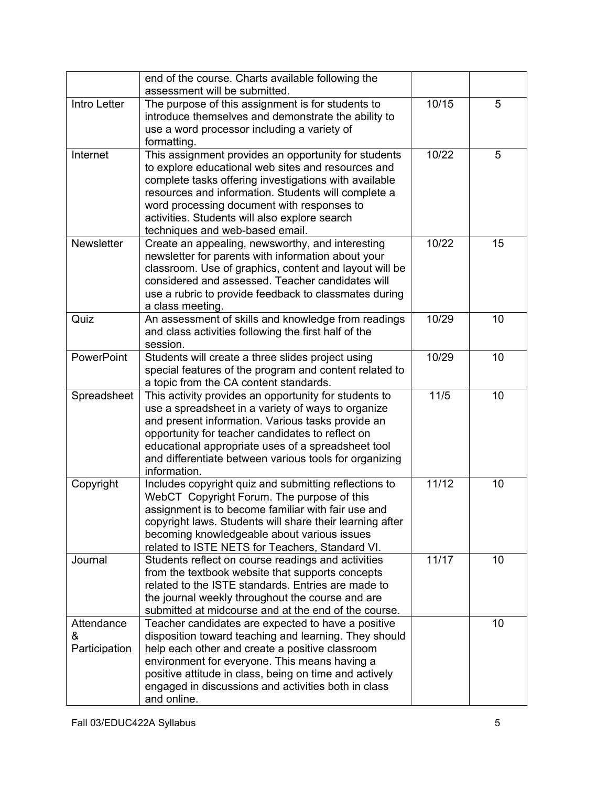|                                  | end of the course. Charts available following the<br>assessment will be submitted.                                                                                                                                                                                                                                                                           |       |    |
|----------------------------------|--------------------------------------------------------------------------------------------------------------------------------------------------------------------------------------------------------------------------------------------------------------------------------------------------------------------------------------------------------------|-------|----|
| Intro Letter                     | The purpose of this assignment is for students to<br>introduce themselves and demonstrate the ability to<br>use a word processor including a variety of<br>formatting.                                                                                                                                                                                       | 10/15 | 5  |
| Internet                         | This assignment provides an opportunity for students<br>to explore educational web sites and resources and<br>complete tasks offering investigations with available<br>resources and information. Students will complete a<br>word processing document with responses to<br>activities. Students will also explore search<br>techniques and web-based email. | 10/22 | 5  |
| Newsletter                       | Create an appealing, newsworthy, and interesting<br>newsletter for parents with information about your<br>classroom. Use of graphics, content and layout will be<br>considered and assessed. Teacher candidates will<br>use a rubric to provide feedback to classmates during<br>a class meeting.                                                            | 10/22 | 15 |
| Quiz                             | An assessment of skills and knowledge from readings<br>and class activities following the first half of the<br>session.                                                                                                                                                                                                                                      | 10/29 | 10 |
| PowerPoint                       | Students will create a three slides project using<br>special features of the program and content related to<br>a topic from the CA content standards.                                                                                                                                                                                                        | 10/29 | 10 |
| Spreadsheet                      | This activity provides an opportunity for students to<br>use a spreadsheet in a variety of ways to organize<br>and present information. Various tasks provide an<br>opportunity for teacher candidates to reflect on<br>educational appropriate uses of a spreadsheet tool<br>and differentiate between various tools for organizing<br>information.         | 11/5  | 10 |
| Copyright                        | Includes copyright quiz and submitting reflections to<br>WebCT Copyright Forum. The purpose of this<br>assignment is to become familiar with fair use and<br>copyright laws. Students will share their learning after<br>becoming knowledgeable about various issues<br>related to ISTE NETS for Teachers, Standard VI.                                      | 11/12 | 10 |
| Journal                          | Students reflect on course readings and activities<br>from the textbook website that supports concepts<br>related to the ISTE standards. Entries are made to<br>the journal weekly throughout the course and are<br>submitted at midcourse and at the end of the course.                                                                                     | 11/17 | 10 |
| Attendance<br>&<br>Participation | Teacher candidates are expected to have a positive<br>disposition toward teaching and learning. They should<br>help each other and create a positive classroom<br>environment for everyone. This means having a<br>positive attitude in class, being on time and actively<br>engaged in discussions and activities both in class<br>and online.              |       | 10 |